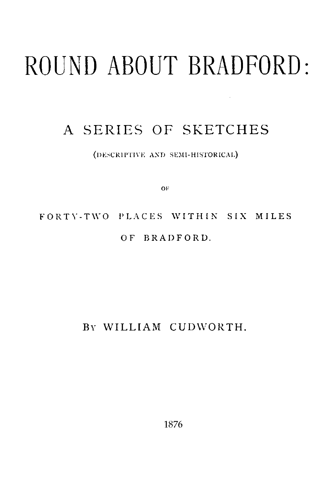# ROUND ABOUT BRADFORD:

## A SERIES OF SKETCHES

(DESCRIPTIVE AND SEMI-HISTORICAL)

OF

# FORTY-TWO PLACES WITHIN SIX MILES OF BRADFORD.

#### BY WILLIAM CUDWORTH.

1876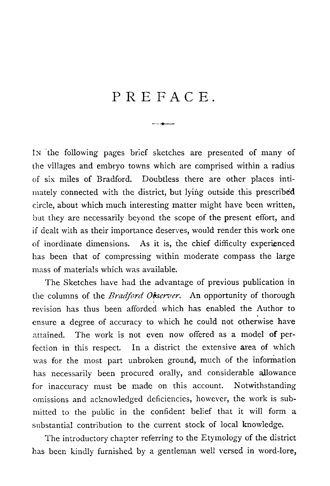## PREFACE.

IN the following pages brief sketches are presented of many of the villages and embryo towns which are comprised within a radius of six miles of Bradford. Doubtless there are other places intimately connected with the district, but lying outside this prescribed circle, about which much interesting matter might have been written, but they are necessarily beyond the scope of the present effort, and if dealt with as their importance deserves, would render this work one of inordinate dimensions. As it is, the chief difficulty experienced has been that of compressing within moderate compass the large mass of materials which was available.

The Sketches have had the advantage of previous publication in the columns of the *Bradford Observer.* An opportunity of thorough revision has thus been afforded which has enabled the Author to ensure a degree of accuracy to which he could not otherwise have attained. The work is not even now offered as a model of perfection in this respect. In a district the extensive area of which was for the most part unbroken ground, much of the information has necessarily been procured orally, and considerable allowance for inaccuracy must be made on this account. Notwithstanding omissions and acknowledged deficiencies, however, the work is submitted to the public in the confident belief that it will form a substantial contribution to the current stock of local knowledge.

The introductory chapter referring to the Etymology of the district has been kindly furnished by a gentleman well versed in word-lore,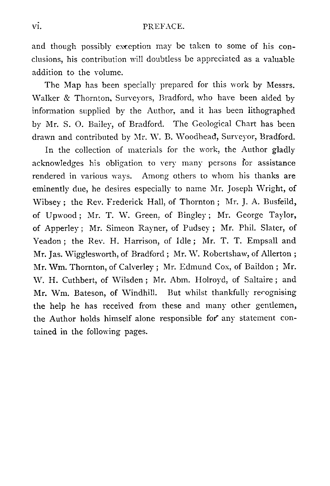#### vi. PREFACE.

and though possibly exception may be taken to some of his conclusions, his contribution will doubtless be appreciated as a valuable addition to the volume.

The Map has been specially prepared for this work by Messrs. Walker & Thornton, Surveyors, Bradford, who have been aided by information supplied by the Author, and it has been lithographed by Mr. S. 0. Bailey, of Bradford. The Geological Chart has been drawn and contributed by Mr. W. B. Woodhead, Surveyor, Bradford.

In the collection of materials for the work, the Author gladly acknowledges his obligation to very many persons for assistance rendered in various ways. Among others to whom his thanks are eminently due, he desires especially to name Mr. Joseph Wright, of Wibsey ; the Rev. Frederick Hall, of Thornton ; Mr. J. A. Busfeild, of Upwood ; Mr. T. W. Green, of Bingley ; Mr. George Taylor, of Apperley ; Mr. Simeon Rayner, of Pudsey ; Mr. Phil. Slater, of Yeadon ; the Rev. H. Harrison, of Idle ; Mr. T. T. Empsall and Mr. Jas. Wigglesworth, of Bradford ; Mr. W. Robertshaw, of Allerton ; Mr. Wm. Thornton, of Calverley ; Mr. Edmund Cox, of Baildon ; Mr. W. H. Cuthbert, of Wilsden ; Mr. Abm. Holroyd, of Saltaire ; and Mr. Wm. Bateson, of Windhill. But whilst thankfully recognising the help he has received from these and many other gentlemen, the Author holds himself alone responsible for any statement contained in the following pages.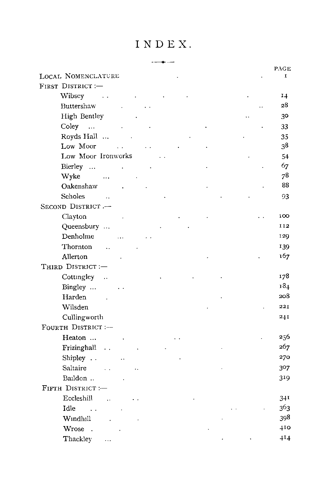### INDEX.

|                       |                      |           |    | INDEX. |  |  |  |           |
|-----------------------|----------------------|-----------|----|--------|--|--|--|-----------|
|                       |                      |           |    |        |  |  |  |           |
| LOCAL NOMENCLATURE    |                      |           |    |        |  |  |  | PAGE<br>I |
| FIRST DISTRICT :-     |                      |           |    |        |  |  |  |           |
| Wibsey                | $\sim$ .             |           |    |        |  |  |  | 14        |
| Buttershaw            |                      |           |    |        |  |  |  | 28        |
| High Bentley          |                      |           |    |        |  |  |  | 30        |
| Coley                 |                      |           |    |        |  |  |  | 33        |
| Royds Hall            |                      |           |    |        |  |  |  | 35        |
| Low Moor              |                      |           | έ, |        |  |  |  | 38        |
| Low Moor Ironworks    |                      |           |    |        |  |  |  | 54        |
| Bierley               |                      |           |    |        |  |  |  | 67        |
| Wyke                  |                      |           |    |        |  |  |  | 78        |
| Oakenshaw             |                      |           |    |        |  |  |  | 88        |
| Scholes               | $\sim$ 14            |           |    |        |  |  |  | 93        |
| SECOND DISTRICT.-     |                      |           |    |        |  |  |  |           |
| Clayton               |                      |           |    |        |  |  |  | 100       |
| Queensbury            |                      |           |    |        |  |  |  | 112       |
| Denholme              |                      | $\ddotsc$ |    |        |  |  |  | 129       |
| Thornton              | $\ddotsc$            |           |    |        |  |  |  | 139       |
| Allerton              |                      |           |    |        |  |  |  | 167       |
| THIRD DISTRICT :-     |                      |           |    |        |  |  |  |           |
| Cottingley            | $\sim$               |           |    |        |  |  |  | 178       |
| Bingley               |                      |           |    |        |  |  |  | 184       |
| Harden                |                      |           |    |        |  |  |  | 208       |
| Wilsden               |                      |           |    |        |  |  |  | 221       |
| Cullingworth          |                      |           |    |        |  |  |  | 241       |
| FOURTH DISTRICT :--   |                      |           |    |        |  |  |  |           |
| Heaton                |                      |           |    |        |  |  |  | 256       |
| Frizinghall           | $\ddot{\phantom{0}}$ |           |    |        |  |  |  | 267       |
| Shipley               |                      | Ϋ.        |    |        |  |  |  | 270       |
| Saltaire              |                      |           |    |        |  |  |  | 307       |
| Baildon               |                      |           |    |        |  |  |  | 319       |
| FIFTH DISTRICT :-     |                      |           |    |        |  |  |  |           |
| Eccleshill            | $\ddot{\phantom{a}}$ |           |    |        |  |  |  | 341       |
| Idle<br>$\sim$ $\sim$ |                      |           |    |        |  |  |  | 363       |
| Windhill              | $\ddot{\phantom{a}}$ |           |    |        |  |  |  | 398       |
| Wrose.                |                      |           |    |        |  |  |  | 410       |
| Thackley              | $\ddotsc$            |           |    |        |  |  |  | $^{414}$  |